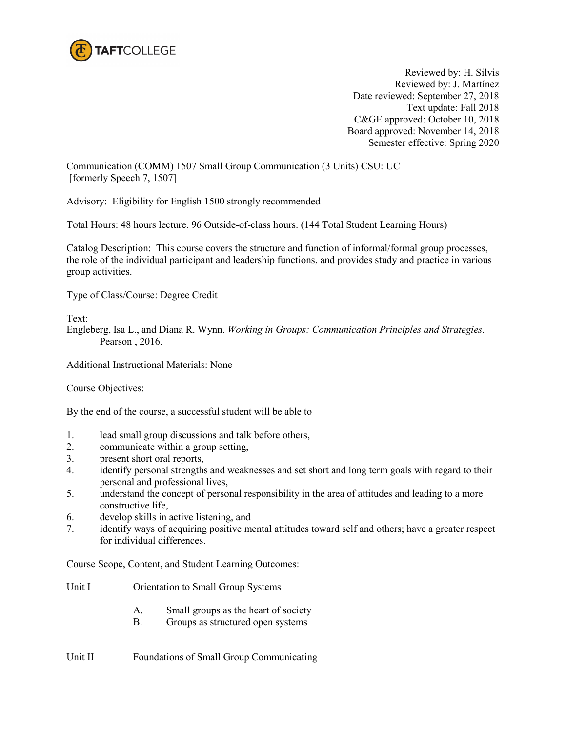

 Reviewed by: H. Silvis Reviewed by: J. Martínez Date reviewed: September 27, 2018 Text update: Fall 2018 C&GE approved: October 10, 2018 Board approved: November 14, 2018 Semester effective: Spring 2020

Communication (COMM) 1507 Small Group Communication (3 Units) CSU: UC [formerly Speech 7, 1507]

Advisory: Eligibility for English 1500 strongly recommended

Total Hours: 48 hours lecture. 96 Outside-of-class hours. (144 Total Student Learning Hours)

Catalog Description: This course covers the structure and function of informal/formal group processes, the role of the individual participant and leadership functions, and provides study and practice in various group activities.

Type of Class/Course: Degree Credit

Text:

Engleberg, Isa L., and Diana R. Wynn. *Working in Groups: Communication Principles and Strategies.* Pearson , 2016.

Additional Instructional Materials: None

Course Objectives:

By the end of the course, a successful student will be able to

- 1. lead small group discussions and talk before others,
- 2. communicate within a group setting,
- 3. present short oral reports,
- 4. identify personal strengths and weaknesses and set short and long term goals with regard to their personal and professional lives,
- 5. understand the concept of personal responsibility in the area of attitudes and leading to a more constructive life,
- 6. develop skills in active listening, and
- 7. identify ways of acquiring positive mental attitudes toward self and others; have a greater respect for individual differences.

Course Scope, Content, and Student Learning Outcomes:

- Unit I Orientation to Small Group Systems
	- A. Small groups as the heart of society
	- B. Groups as structured open systems
- Unit II Foundations of Small Group Communicating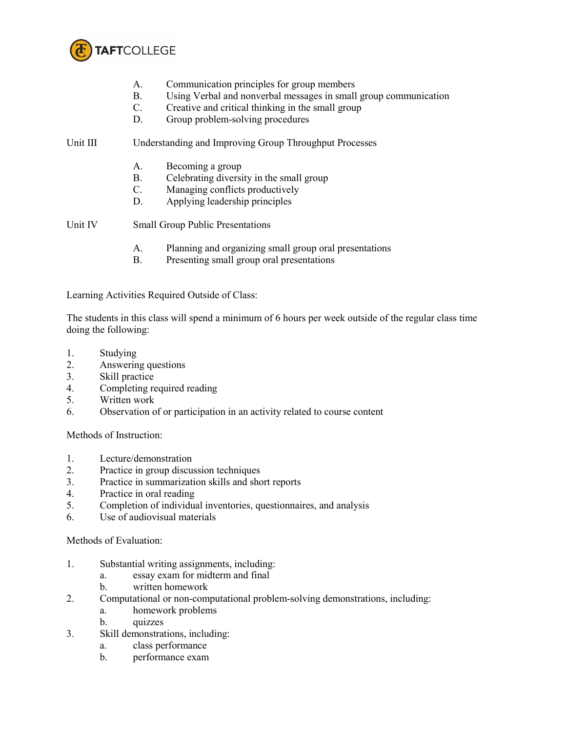

- A. Communication principles for group members
- B. Using Verbal and nonverbal messages in small group communication
- C. Creative and critical thinking in the small group
- D. Group problem-solving procedures

## Unit III Understanding and Improving Group Throughput Processes

- A. Becoming a group
- B. Celebrating diversity in the small group
- C. Managing conflicts productively
- D. Applying leadership principles

Unit IV Small Group Public Presentations

- A. Planning and organizing small group oral presentations
- B. Presenting small group oral presentations

Learning Activities Required Outside of Class:

The students in this class will spend a minimum of 6 hours per week outside of the regular class time doing the following:

- 1. Studying
- 2. Answering questions
- 3. Skill practice
- 4. Completing required reading
- 5. Written work
- 6. Observation of or participation in an activity related to course content

Methods of Instruction:

- 1. Lecture/demonstration
- 2. Practice in group discussion techniques
- 3. Practice in summarization skills and short reports
- 4. Practice in oral reading
- 5. Completion of individual inventories, questionnaires, and analysis
- 6. Use of audiovisual materials

Methods of Evaluation:

- 1. Substantial writing assignments, including:
	- a. essay exam for midterm and final
	- b. written homework
- 2. Computational or non-computational problem-solving demonstrations, including:
	- a. homework problems
	- b. quizzes
- 3. Skill demonstrations, including:
	- a. class performance
	- b. performance exam